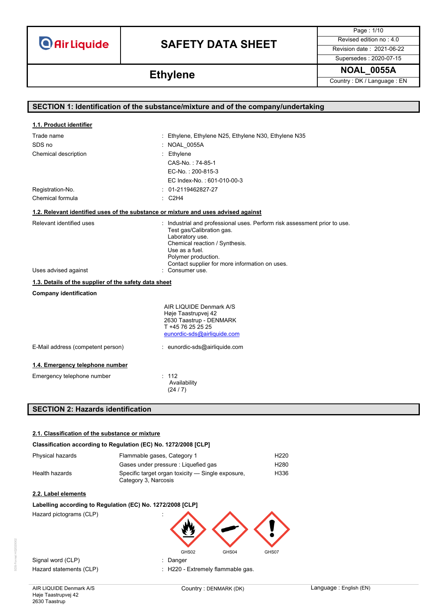# **SAFETY DATA SHEET** Revised edition no : 4.0

Page : 1/10

Supersedes : 2020-07-15

**Ethylene NOAL\_0055A Ethylene Country: DK/Language : EN** 

| SECTION 1: Identification of the substance/mixture and of the company/undertaking  |                                                                                                                                                                                                      |  |
|------------------------------------------------------------------------------------|------------------------------------------------------------------------------------------------------------------------------------------------------------------------------------------------------|--|
|                                                                                    |                                                                                                                                                                                                      |  |
| 1.1. Product identifier                                                            |                                                                                                                                                                                                      |  |
| Trade name                                                                         | : Ethylene, Ethylene N25, Ethylene N30, Ethylene N35                                                                                                                                                 |  |
| SDS no                                                                             | NOAL 0055A                                                                                                                                                                                           |  |
| Chemical description                                                               | Ethylene                                                                                                                                                                                             |  |
|                                                                                    | CAS-No.: 74-85-1                                                                                                                                                                                     |  |
|                                                                                    | EC-No.: 200-815-3                                                                                                                                                                                    |  |
|                                                                                    | EC Index-No.: 601-010-00-3                                                                                                                                                                           |  |
| Registration-No.                                                                   | 01-2119462827-27                                                                                                                                                                                     |  |
| Chemical formula                                                                   | $\therefore$ C2H4                                                                                                                                                                                    |  |
| 1.2. Relevant identified uses of the substance or mixture and uses advised against |                                                                                                                                                                                                      |  |
| Relevant identified uses                                                           | : Industrial and professional uses. Perform risk assessment prior to use.<br>Test gas/Calibration gas.<br>Laboratory use.<br>Chemical reaction / Synthesis.<br>Use as a fuel.<br>Polymer production. |  |
| Uses advised against                                                               | Contact supplier for more information on uses.<br>: Consumer use.                                                                                                                                    |  |
| 1.3. Details of the supplier of the safety data sheet                              |                                                                                                                                                                                                      |  |
| <b>Company identification</b>                                                      |                                                                                                                                                                                                      |  |
|                                                                                    | AIR LIQUIDE Denmark A/S<br>Høje Taastrupvej 42<br>2630 Taastrup - DENMARK<br>T +45 76 25 25 25<br>eunordic-sds@airliquide.com                                                                        |  |
| E-Mail address (competent person)                                                  | : eunordic-sds@airliquide.com                                                                                                                                                                        |  |
| 1.4. Emergency telephone number                                                    |                                                                                                                                                                                                      |  |
| Emergency telephone number                                                         | : 112<br>Availability<br>(24/7)                                                                                                                                                                      |  |
| <b>SECTION 2: Hazards identification</b>                                           |                                                                                                                                                                                                      |  |

### **2.1. Classification of the substance or mixture**

## **Classification according to Regulation (EC) No. 1272/2008 [CLP]**

| Physical hazards | Flammable gases, Category 1                                               | H <sub>220</sub> |
|------------------|---------------------------------------------------------------------------|------------------|
|                  | Gases under pressure : Liquefied gas                                      | H <sub>280</sub> |
| Health hazards   | Specific target organ toxicity — Single exposure,<br>Category 3, Narcosis | H336             |

## **2.2. Label elements**

## **Labelling according to Regulation (EC) No. 1272/2008 [CLP]**

Hazard pictograms (CLP)



Signal word (CLP) **in the set of the Signal word (CLP)** and the set of the set of the Signal and the Signal and Si

Hazard statements (CLP)  $\qquad \qquad$ : H220 - Extremely flammable gas.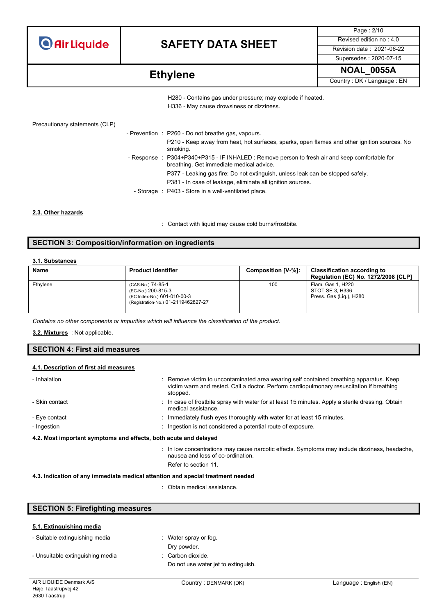

# **SAFETY DATA SHEET** Revised edition no : 4.0

Page : 2/10 Supersedes : 2020-07-15

**Ethylene NOAL\_0055A Ethylene Country: DK/Language : EN** 

H280 - Contains gas under pressure; may explode if heated. H336 - May cause drowsiness or dizziness.

| Precautionary statements (CLP) |  |
|--------------------------------|--|
|--------------------------------|--|

| - Prevention : P260 - Do not breathe gas, vapours.                                                                                         |
|--------------------------------------------------------------------------------------------------------------------------------------------|
| P210 - Keep away from heat, hot surfaces, sparks, open flames and other ignition sources. No<br>smoking.                                   |
| - Response : P304+P340+P315 - IF INHALED : Remove person to fresh air and keep comfortable for<br>breathing. Get immediate medical advice. |
| P377 - Leaking gas fire: Do not extinguish, unless leak can be stopped safely.                                                             |
| P381 - In case of leakage, eliminate all ignition sources.                                                                                 |
| - Storage : P403 - Store in a well-ventilated place.                                                                                       |

### **2.3. Other hazards**

: Contact with liquid may cause cold burns/frostbite.

## **SECTION 3: Composition/information on ingredients**

### **3.1. Substances**

| <b>Name</b> | <b>Product identifier</b>                                                                                     | Composition [V-%]: | <b>Classification according to</b><br><b>Regulation (EC) No. 1272/2008 [CLP]</b> |
|-------------|---------------------------------------------------------------------------------------------------------------|--------------------|----------------------------------------------------------------------------------|
| Ethylene    | (CAS-No.) 74-85-1<br>(EC-No.) 200-815-3<br>(EC Index-No.) 601-010-00-3<br>(Registration-No.) 01-2119462827-27 | 100                | Flam. Gas 1, H220<br>STOT SE 3. H336<br>Press. Gas (Lig.), H280                  |

*Contains no other components or impurities which will influence the classification of the product.*

: Not applicable. **3.2. Mixtures**

## **SECTION 4: First aid measures**

### **4.1. Description of first aid measures**

| - Inhalation                                                     | : Remove victim to uncontaminated area wearing self contained breathing apparatus. Keep<br>victim warm and rested. Call a doctor. Perform cardiopulmonary resuscitation if breathing |
|------------------------------------------------------------------|--------------------------------------------------------------------------------------------------------------------------------------------------------------------------------------|
| - Skin contact                                                   | stopped.<br>: In case of frostbite spray with water for at least 15 minutes. Apply a sterile dressing. Obtain<br>medical assistance.                                                 |
| - Eye contact                                                    | : Immediately flush eyes thoroughly with water for at least 15 minutes.                                                                                                              |
| - Ingestion                                                      | : Ingestion is not considered a potential route of exposure.                                                                                                                         |
| 4.2. Most important symptoms and effects, both acute and delayed |                                                                                                                                                                                      |
|                                                                  | : In low concentrations may cause narcotic effects. Symptoms may include dizziness, headache,<br>nausea and loss of co-ordination.<br>Refer to section 11.                           |

## **4.3. Indication of any immediate medical attention and special treatment needed**

: Obtain medical assistance.

## **SECTION 5: Firefighting measures**

## **5.1. Extinguishing media**

| - Suitable extinguishing media   | $\therefore$ Water spray or fog.    |
|----------------------------------|-------------------------------------|
|                                  | Dry powder.                         |
| - Unsuitable extinguishing media | : Carbon dioxide.                   |
|                                  | Do not use water jet to extinguish. |
|                                  |                                     |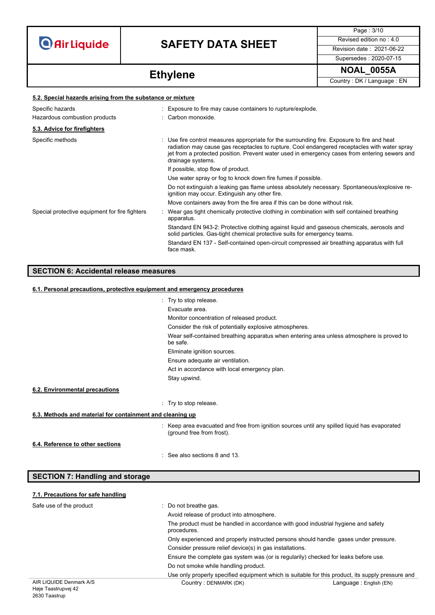# **SAFETY DATA SHEET** Revised edition no : 4.0

Page : 3/10 Supersedes : 2020-07-15

**Ethylene NOAL\_0055A Ethylene Ethylene EX** 

| 5.2. Special hazards arising from the substance or mixture |                                                                                                                                                                                                                                                                                                                   |  |
|------------------------------------------------------------|-------------------------------------------------------------------------------------------------------------------------------------------------------------------------------------------------------------------------------------------------------------------------------------------------------------------|--|
| Specific hazards                                           | : Exposure to fire may cause containers to rupture/explode.                                                                                                                                                                                                                                                       |  |
| Hazardous combustion products                              | : Carbon monoxide.                                                                                                                                                                                                                                                                                                |  |
| 5.3. Advice for firefighters                               |                                                                                                                                                                                                                                                                                                                   |  |
| Specific methods                                           | : Use fire control measures appropriate for the surrounding fire. Exposure to fire and heat<br>radiation may cause gas receptacles to rupture. Cool endangered receptacles with water spray<br>jet from a protected position. Prevent water used in emergency cases from entering sewers and<br>drainage systems. |  |
|                                                            | If possible, stop flow of product.                                                                                                                                                                                                                                                                                |  |
|                                                            | Use water spray or fog to knock down fire fumes if possible.                                                                                                                                                                                                                                                      |  |
|                                                            | Do not extinguish a leaking gas flame unless absolutely necessary. Spontaneous/explosive re-<br>ignition may occur. Extinguish any other fire.                                                                                                                                                                    |  |
|                                                            | Move containers away from the fire area if this can be done without risk.                                                                                                                                                                                                                                         |  |
| Special protective equipment for fire fighters             | Wear gas tight chemically protective clothing in combination with self contained breathing<br>apparatus.                                                                                                                                                                                                          |  |
|                                                            | Standard EN 943-2: Protective clothing against liquid and gaseous chemicals, aerosols and<br>solid particles. Gas-tight chemical protective suits for emergency teams.                                                                                                                                            |  |
|                                                            | Standard EN 137 - Self-contained open-circuit compressed air breathing apparatus with full<br>face mask.                                                                                                                                                                                                          |  |
|                                                            |                                                                                                                                                                                                                                                                                                                   |  |

# **SECTION 6: Accidental release measures**

### **6.1. Personal precautions, protective equipment and emergency procedures**

|                                                           | : Try to stop release.                                                                                                    |
|-----------------------------------------------------------|---------------------------------------------------------------------------------------------------------------------------|
|                                                           | Evacuate area.                                                                                                            |
|                                                           | Monitor concentration of released product.                                                                                |
|                                                           | Consider the risk of potentially explosive atmospheres.                                                                   |
|                                                           | Wear self-contained breathing apparatus when entering area unless atmosphere is proved to<br>be safe.                     |
|                                                           | Eliminate ignition sources.                                                                                               |
|                                                           | Ensure adequate air ventilation.                                                                                          |
|                                                           | Act in accordance with local emergency plan.                                                                              |
|                                                           | Stay upwind.                                                                                                              |
| 6.2. Environmental precautions                            |                                                                                                                           |
|                                                           | : Try to stop release.                                                                                                    |
| 6.3. Methods and material for containment and cleaning up |                                                                                                                           |
|                                                           | : Keep area evacuated and free from ignition sources until any spilled liquid has evaporated<br>(ground free from frost). |
| 6.4. Reference to other sections                          |                                                                                                                           |
|                                                           | : See also sections 8 and 13.                                                                                             |

## **SECTION 7: Handling and storage**

## **7.1. Precautions for safe handling**

| Safe use of the product                        | Do not breathe gas.                                                                              |                                                                                                   |
|------------------------------------------------|--------------------------------------------------------------------------------------------------|---------------------------------------------------------------------------------------------------|
|                                                | Avoid release of product into atmosphere.                                                        |                                                                                                   |
|                                                | The product must be handled in accordance with good industrial hygiene and safety<br>procedures. |                                                                                                   |
|                                                | Only experienced and properly instructed persons should handle gases under pressure.             |                                                                                                   |
|                                                | Consider pressure relief device(s) in gas installations.                                         |                                                                                                   |
|                                                | Ensure the complete gas system was (or is regularily) checked for leaks before use.              |                                                                                                   |
|                                                | Do not smoke while handling product.                                                             |                                                                                                   |
|                                                |                                                                                                  | Use only properly specified equipment which is suitable for this product, its supply pressure and |
| AIR LIQUIDE Denmark A/S<br>Haje Taastrunyei 42 | Country: DENMARK (DK)                                                                            | Language: English (EN)                                                                            |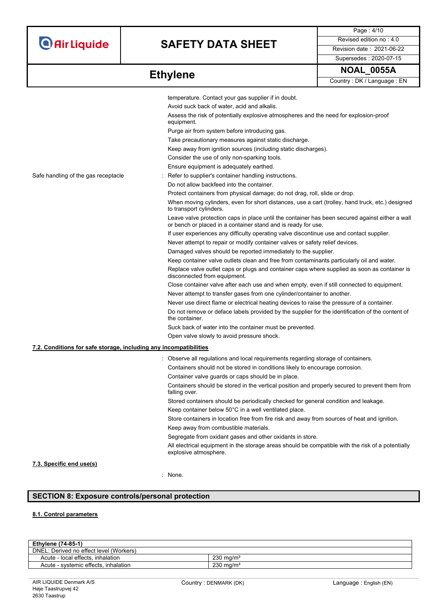# **SAFETY DATA SHEET** Revised edition no : 4.0

Supersedes : 2020-07-15

Page : 4/10

| <b>Ethylene</b> | <b>NOAL 0055A</b>          |
|-----------------|----------------------------|
|                 | Country: DK / Language: EN |

|                                                                   | temperature. Contact your gas supplier if in doubt.                                                                                                              |
|-------------------------------------------------------------------|------------------------------------------------------------------------------------------------------------------------------------------------------------------|
|                                                                   | Avoid suck back of water, acid and alkalis.                                                                                                                      |
|                                                                   | Assess the risk of potentially explosive atmospheres and the need for explosion-proof<br>equipment.                                                              |
|                                                                   | Purge air from system before introducing gas.                                                                                                                    |
|                                                                   | Take precautionary measures against static discharge.                                                                                                            |
|                                                                   | Keep away from ignition sources (including static discharges).                                                                                                   |
|                                                                   | Consider the use of only non-sparking tools.                                                                                                                     |
|                                                                   | Ensure equipment is adequately earthed.                                                                                                                          |
| Safe handling of the gas receptacle                               | Refer to supplier's container handling instructions.                                                                                                             |
|                                                                   | Do not allow backfeed into the container.                                                                                                                        |
|                                                                   | Protect containers from physical damage; do not drag, roll, slide or drop.                                                                                       |
|                                                                   | When moving cylinders, even for short distances, use a cart (trolley, hand truck, etc.) designed<br>to transport cylinders.                                      |
|                                                                   | Leave valve protection caps in place until the container has been secured against either a wall<br>or bench or placed in a container stand and is ready for use. |
|                                                                   | If user experiences any difficulty operating valve discontinue use and contact supplier.                                                                         |
|                                                                   | Never attempt to repair or modify container valves or safety relief devices.                                                                                     |
|                                                                   | Damaged valves should be reported immediately to the supplier.                                                                                                   |
|                                                                   | Keep container valve outlets clean and free from contaminants particularly oil and water.                                                                        |
|                                                                   | Replace valve outlet caps or plugs and container caps where supplied as soon as container is<br>disconnected from equipment.                                     |
|                                                                   | Close container valve after each use and when empty, even if still connected to equipment.                                                                       |
|                                                                   | Never attempt to transfer gases from one cylinder/container to another.                                                                                          |
|                                                                   | Never use direct flame or electrical heating devices to raise the pressure of a container.                                                                       |
|                                                                   | Do not remove or deface labels provided by the supplier for the identification of the content of<br>the container.                                               |
|                                                                   | Suck back of water into the container must be prevented.                                                                                                         |
|                                                                   | Open valve slowly to avoid pressure shock.                                                                                                                       |
| 7.2. Conditions for safe storage, including any incompatibilities |                                                                                                                                                                  |
|                                                                   | : Observe all regulations and local requirements regarding storage of containers.                                                                                |
|                                                                   | Containers should not be stored in conditions likely to encourage corrosion.                                                                                     |
|                                                                   | Container valve guards or caps should be in place.                                                                                                               |
|                                                                   | Containers should be stored in the vertical position and properly secured to prevent them from<br>falling over.                                                  |
|                                                                   | Stored containers should be periodically checked for general condition and leakage.                                                                              |
|                                                                   | Keep container below 50°C in a well ventilated place.                                                                                                            |
|                                                                   | Store containers in location free from fire risk and away from sources of heat and ignition.                                                                     |
|                                                                   | Keep away from combustible materials.                                                                                                                            |
|                                                                   | Segregate from oxidant gases and other oxidants in store.                                                                                                        |
|                                                                   | All electrical equipment in the storage areas should be compatible with the risk of a potentially<br>explosive atmosphere.                                       |
| 7.3. Specific end use(s)                                          |                                                                                                                                                                  |

## : None.

## **SECTION 8: Exposure controls/personal protection**

## **8.1. Control parameters**

| <b>Ethylene (74-85-1)</b>               |                      |
|-----------------------------------------|----------------------|
| DNEL: Derived no effect level (Workers) |                      |
| Acute - local effects, inhalation       | $230 \text{ ma/m}^3$ |
| Acute - systemic effects, inhalation    | $230 \text{ ma/m}^3$ |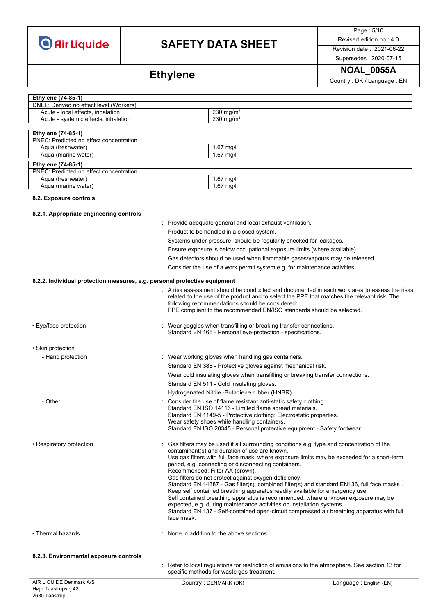# **SAFETY DATA SHEET** Revised edition no : 4.0

Page : 5/10

# Supersedes : 2020-07-15

Ethylene **NOAL\_0055A Ethylene** Country: DK / Language : EN

| <b>Ethylene (74-85-1)</b>               |                         |
|-----------------------------------------|-------------------------|
| DNEL: Derived no effect level (Workers) |                         |
| Acute - local effects, inhalation       | $230$ mg/m <sup>3</sup> |
| Acute - systemic effects, inhalation    | $230 \text{ mg/m}^3$    |
|                                         |                         |
| <b>Ethylene (74-85-1)</b>               |                         |
| PNEC: Predicted no effect concentration |                         |
| Agua (freshwater)                       | $1.67$ mg/l             |
| Aqua (marine water)                     | $1.67$ mg/l             |
| <b>Ethylene (74-85-1)</b>               |                         |
| PNEC: Predicted no effect concentration |                         |
| Agua (freshwater)                       | $1.67$ mg/l             |
| Aqua (marine water)                     | $1.67$ mg/l             |

### **8.2. Exposure controls**

## **8.2.1. Appropriate engineering controls**

|                                                                           | Provide adequate general and local exhaust ventilation.                                                                                                                                                                                                                                                                                                                                                                                                                                                                                                                                                                                                                                                                                                                                                                                             |
|---------------------------------------------------------------------------|-----------------------------------------------------------------------------------------------------------------------------------------------------------------------------------------------------------------------------------------------------------------------------------------------------------------------------------------------------------------------------------------------------------------------------------------------------------------------------------------------------------------------------------------------------------------------------------------------------------------------------------------------------------------------------------------------------------------------------------------------------------------------------------------------------------------------------------------------------|
|                                                                           | Product to be handled in a closed system.                                                                                                                                                                                                                                                                                                                                                                                                                                                                                                                                                                                                                                                                                                                                                                                                           |
|                                                                           | Systems under pressure should be regularily checked for leakages.                                                                                                                                                                                                                                                                                                                                                                                                                                                                                                                                                                                                                                                                                                                                                                                   |
|                                                                           | Ensure exposure is below occupational exposure limits (where available).                                                                                                                                                                                                                                                                                                                                                                                                                                                                                                                                                                                                                                                                                                                                                                            |
|                                                                           | Gas detectors should be used when flammable gases/vapours may be released.                                                                                                                                                                                                                                                                                                                                                                                                                                                                                                                                                                                                                                                                                                                                                                          |
|                                                                           | Consider the use of a work permit system e.g. for maintenance activities.                                                                                                                                                                                                                                                                                                                                                                                                                                                                                                                                                                                                                                                                                                                                                                           |
|                                                                           |                                                                                                                                                                                                                                                                                                                                                                                                                                                                                                                                                                                                                                                                                                                                                                                                                                                     |
| 8.2.2. Individual protection measures, e.g. personal protective equipment |                                                                                                                                                                                                                                                                                                                                                                                                                                                                                                                                                                                                                                                                                                                                                                                                                                                     |
|                                                                           | : A risk assessment should be conducted and documented in each work area to assess the risks<br>related to the use of the product and to select the PPE that matches the relevant risk. The<br>following recommendations should be considered:<br>PPE compliant to the recommended EN/ISO standards should be selected.                                                                                                                                                                                                                                                                                                                                                                                                                                                                                                                             |
| • Eye/face protection                                                     | : Wear goggles when transfilling or breaking transfer connections.<br>Standard EN 166 - Personal eye-protection - specifications.                                                                                                                                                                                                                                                                                                                                                                                                                                                                                                                                                                                                                                                                                                                   |
| • Skin protection                                                         |                                                                                                                                                                                                                                                                                                                                                                                                                                                                                                                                                                                                                                                                                                                                                                                                                                                     |
| - Hand protection                                                         | : Wear working gloves when handling gas containers.                                                                                                                                                                                                                                                                                                                                                                                                                                                                                                                                                                                                                                                                                                                                                                                                 |
|                                                                           | Standard EN 388 - Protective gloves against mechanical risk.                                                                                                                                                                                                                                                                                                                                                                                                                                                                                                                                                                                                                                                                                                                                                                                        |
|                                                                           | Wear cold insulating gloves when transfilling or breaking transfer connections.                                                                                                                                                                                                                                                                                                                                                                                                                                                                                                                                                                                                                                                                                                                                                                     |
|                                                                           | Standard EN 511 - Cold insulating gloves.                                                                                                                                                                                                                                                                                                                                                                                                                                                                                                                                                                                                                                                                                                                                                                                                           |
|                                                                           | Hydrogenated Nitrile -Butadiene rubber (HNBR).                                                                                                                                                                                                                                                                                                                                                                                                                                                                                                                                                                                                                                                                                                                                                                                                      |
| - Other                                                                   | : Consider the use of flame resistant anti-static safety clothing.<br>Standard EN ISO 14116 - Limited flame spread materials.<br>Standard EN 1149-5 - Protective clothing: Electrostatic properties.<br>Wear safety shoes while handling containers.<br>Standard EN ISO 20345 - Personal protective equipment - Safety footwear.                                                                                                                                                                                                                                                                                                                                                                                                                                                                                                                    |
| • Respiratory protection                                                  | Gas filters may be used if all surrounding conditions e.g. type and concentration of the<br>contaminant(s) and duration of use are known.<br>Use gas filters with full face mask, where exposure limits may be exceeded for a short-term<br>period, e.g. connecting or disconnecting containers.<br>Recommended: Filter AX (brown).<br>Gas filters do not protect against oxygen deficiency.<br>Standard EN 14387 - Gas filter(s), combined filter(s) and standard EN136, full face masks.<br>Keep self contained breathing apparatus readily available for emergency use.<br>Self contained breathing apparatus is recommended, where unknown exposure may be<br>expected, e.g. during maintenance activities on installation systems.<br>Standard EN 137 - Self-contained open-circuit compressed air breathing apparatus with full<br>face mask. |
| • Thermal hazards                                                         | : None in addition to the above sections.                                                                                                                                                                                                                                                                                                                                                                                                                                                                                                                                                                                                                                                                                                                                                                                                           |
| 8.2.3. Environmental exposure controls                                    |                                                                                                                                                                                                                                                                                                                                                                                                                                                                                                                                                                                                                                                                                                                                                                                                                                                     |
|                                                                           | Refer to local regulations for restriction of emissions to the atmosphere. See section 13 for<br>specific methods for waste gas treatment.                                                                                                                                                                                                                                                                                                                                                                                                                                                                                                                                                                                                                                                                                                          |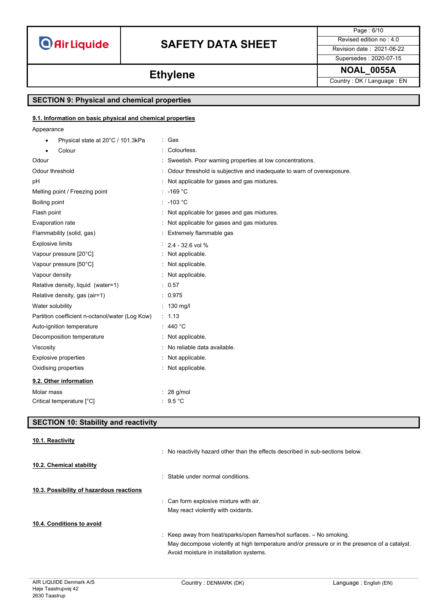# **SAFETY DATA SHEET** Revised edition no : 4.0

Page : 6/10 Supersedes : 2020-07-15

**Ethylene NOAL\_0055A Ethylene Country**: DK / Language : EN

## **SECTION 9: Physical and chemical properties**

### **9.1. Information on basic physical and chemical properties**

Appearance

| Physical state at 20°C / 101.3kPa<br>٠          | : Gas                                                                 |
|-------------------------------------------------|-----------------------------------------------------------------------|
| Colour                                          | Colourless.                                                           |
| Odour                                           | Sweetish. Poor warning properties at low concentrations.              |
| Odour threshold                                 | Odour threshold is subjective and inadequate to warn of overexposure. |
| рH                                              | Not applicable for gases and gas mixtures.                            |
| Melting point / Freezing point                  | $: -169 °C$                                                           |
| Boiling point                                   | $: -103 °C$                                                           |
| Flash point                                     | Not applicable for gases and gas mixtures.                            |
| Evaporation rate                                | Not applicable for gases and gas mixtures.                            |
| Flammability (solid, gas)                       | Extremely flammable gas                                               |
| <b>Explosive limits</b>                         | $2.4 - 32.6$ vol %                                                    |
| Vapour pressure [20°C]                          | Not applicable.                                                       |
| Vapour pressure [50°C]                          | Not applicable.                                                       |
| Vapour density                                  | Not applicable.                                                       |
| Relative density, liquid (water=1)              | : 0.57                                                                |
| Relative density, gas (air=1)                   | : 0.975                                                               |
| Water solubility                                | $: 130$ mg/l                                                          |
| Partition coefficient n-octanol/water (Log Kow) | : 1.13                                                                |
| Auto-ignition temperature                       | 440 °C                                                                |
| Decomposition temperature                       | Not applicable.                                                       |
| Viscosity                                       | No reliable data available.                                           |
| <b>Explosive properties</b>                     | Not applicable.                                                       |
| Oxidising properties                            | Not applicable.                                                       |
| 9.2. Other information                          |                                                                       |
| Molar mass                                      | $: 28$ g/mol                                                          |
| Critical temperature [°C]                       | 9.5 °C                                                                |

## **SECTION 10: Stability and reactivity**

### **10.1. Reactivity**

|                                          | : No reactivity hazard other than the effects described in sub-sections below.                |
|------------------------------------------|-----------------------------------------------------------------------------------------------|
| 10.2. Chemical stability                 | : Stable under normal conditions.                                                             |
| 10.3. Possibility of hazardous reactions |                                                                                               |
|                                          | : Can form explosive mixture with air.                                                        |
|                                          | May react violently with oxidants.                                                            |
| 10.4. Conditions to avoid                |                                                                                               |
|                                          | : Keep away from heat/sparks/open flames/hot surfaces. - No smoking.                          |
|                                          | May decompose violently at high temperature and/or pressure or in the presence of a catalyst. |
|                                          | Avoid moisture in installation systems.                                                       |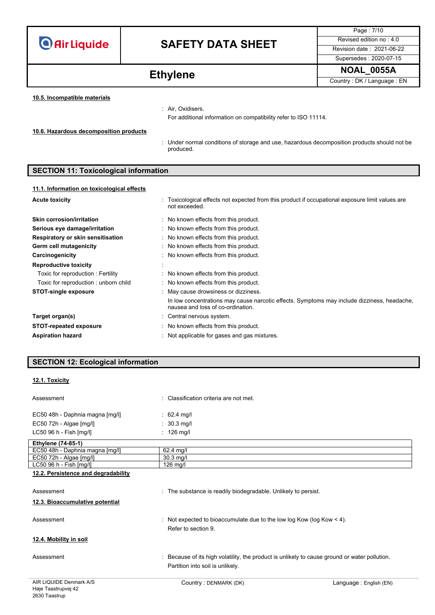# **SAFETY DATA SHEET** Revised edition no : 4.0

Page : 7/10 Supersedes : 2020-07-15

**Ethylene NOAL\_0055A Ethylene Country: DK/Language : EN** 

**10.5. Incompatible materials**

: Air, Oxidisers.

For additional information on compatibility refer to ISO 11114.

**10.6. Hazardous decomposition products**

: Under normal conditions of storage and use, hazardous decomposition products should not be produced.

## **SECTION 11: Toxicological information**

### **11.1. Information on toxicological effects**

| <b>Acute toxicity</b>                | : Toxicological effects not expected from this product if occupational exposure limit values are<br>not exceeded.                |
|--------------------------------------|----------------------------------------------------------------------------------------------------------------------------------|
| <b>Skin corrosion/irritation</b>     | : No known effects from this product.                                                                                            |
| Serious eye damage/irritation        | : No known effects from this product.                                                                                            |
| Respiratory or skin sensitisation    | : No known effects from this product.                                                                                            |
| Germ cell mutagenicity               | : No known effects from this product.                                                                                            |
| Carcinogenicity                      | : No known effects from this product.                                                                                            |
| <b>Reproductive toxicity</b>         |                                                                                                                                  |
| Toxic for reproduction: Fertility    | : No known effects from this product.                                                                                            |
| Toxic for reproduction: unborn child | : No known effects from this product.                                                                                            |
| <b>STOT-single exposure</b>          | : May cause drowsiness or dizziness.                                                                                             |
|                                      | In low concentrations may cause narcotic effects. Symptoms may include dizziness, headache,<br>nausea and loss of co-ordination. |
| Target organ(s)                      | : Central nervous system.                                                                                                        |
| <b>STOT-repeated exposure</b>        | : No known effects from this product.                                                                                            |
| <b>Aspiration hazard</b>             | : Not applicable for gases and gas mixtures.                                                                                     |

| <b>SECTION 12: Ecological information</b> |  |  |
|-------------------------------------------|--|--|
|                                           |  |  |
| 12.1. Toxicity                            |  |  |

| Assessment                          | : Classification criteria are not met.                                  |
|-------------------------------------|-------------------------------------------------------------------------|
| EC50 48h - Daphnia magna [mg/l]     | : 62.4 mg/l                                                             |
| $EC50$ 72h - Algae $[mg/l]$         | $\therefore$ 30.3 mg/l                                                  |
| LC50 96 h - Fish [mg/l]             | $: 126$ mg/l                                                            |
| <b>Ethylene (74-85-1)</b>           |                                                                         |
| EC50 48h - Daphnia magna [mg/l]     | $62.4$ mg/l                                                             |
| $EC50$ 72h - Algae $[mg/l]$         | $30.3$ mg/l                                                             |
| LC50 96 h - Fish [mg/l]             | $126$ mg/l                                                              |
| 12.2. Persistence and degradability |                                                                         |
|                                     |                                                                         |
| Assessment                          | : The substance is readily biodegradable. Unlikely to persist.          |
| 12.3. Bioaccumulative potential     |                                                                         |
| Assessment                          | : Not expected to bioaccumulate due to the low log Kow (log Kow $<$ 4). |
|                                     | Refer to section 9.                                                     |
| 12.4. Mobility in soil              |                                                                         |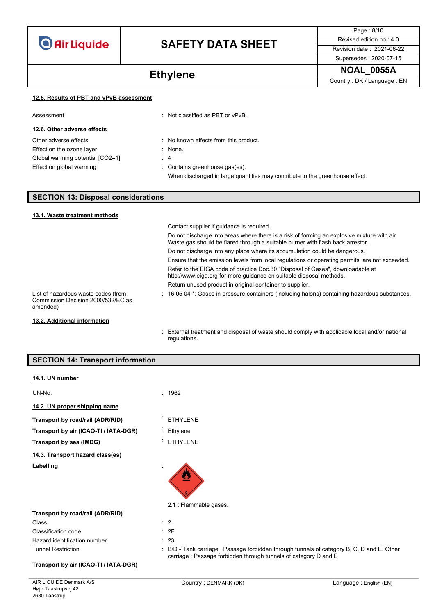# **SAFETY DATA SHEET** Revised edition no : 4.0

Supersedes : 2020-07-15

Page : 8/10

Ethylene **NOAL\_0055A Ethylene** Country: DK / Language : EN

|  |  | 12.5. Results of PBT and vPvB assessment |
|--|--|------------------------------------------|
|  |  |                                          |

| Assessment                       | $\therefore$ Not classified as PBT or vPvB.                                                                    |  |
|----------------------------------|----------------------------------------------------------------------------------------------------------------|--|
| 12.6. Other adverse effects      |                                                                                                                |  |
| Other adverse effects            | No known effects from this product.                                                                            |  |
| Effect on the ozone layer        | $:$ None.                                                                                                      |  |
| Global warming potential [CO2=1] | $\therefore$ 4                                                                                                 |  |
| Effect on global warming         | : Contains greenhouse gas(es).<br>When discharged in large quantities may contribute to the greenhouse effect. |  |

## **SECTION 13: Disposal considerations**

| 13.1. Waste treatment methods                                                         |                                                                                                                                                                               |
|---------------------------------------------------------------------------------------|-------------------------------------------------------------------------------------------------------------------------------------------------------------------------------|
|                                                                                       | Contact supplier if quidance is required.                                                                                                                                     |
|                                                                                       | Do not discharge into areas where there is a risk of forming an explosive mixture with air.<br>Waste gas should be flared through a suitable burner with flash back arrestor. |
|                                                                                       | Do not discharge into any place where its accumulation could be dangerous.                                                                                                    |
|                                                                                       | Ensure that the emission levels from local regulations or operating permits are not exceeded.                                                                                 |
|                                                                                       | Refer to the EIGA code of practice Doc.30 "Disposal of Gases", downloadable at<br>http://www.eiga.org for more guidance on suitable disposal methods.                         |
|                                                                                       | Return unused product in original container to supplier.                                                                                                                      |
| List of hazardous waste codes (from<br>Commission Decision 2000/532/EC as<br>amended) | $\pm$ 16 05 04 $^{\star}$ . Gases in pressure containers (including halons) containing hazardous substances.                                                                  |
| 13.2. Additional information                                                          |                                                                                                                                                                               |
|                                                                                       | : External treatment and disposal of waste should comply with applicable local and/or national                                                                                |

regulations.

| <b>SECTION 14: Transport information</b> |                                                                                                                                                              |
|------------------------------------------|--------------------------------------------------------------------------------------------------------------------------------------------------------------|
| 14.1. UN number                          |                                                                                                                                                              |
| UN-No.                                   | : 1962                                                                                                                                                       |
| 14.2. UN proper shipping name            |                                                                                                                                                              |
| Transport by road/rail (ADR/RID)         | <b>ETHYLENE</b><br>$\bullet$                                                                                                                                 |
| Transport by air (ICAO-TI / IATA-DGR)    | Ethylene                                                                                                                                                     |
| Transport by sea (IMDG)                  | <b>ETHYLENE</b>                                                                                                                                              |
| 14.3. Transport hazard class(es)         |                                                                                                                                                              |
| Labelling                                |                                                                                                                                                              |
|                                          | 2.1 : Flammable gases.                                                                                                                                       |
| Transport by road/rail (ADR/RID)         |                                                                                                                                                              |
| Class                                    | $\therefore$ 2                                                                                                                                               |
| Classification code                      | : 2F                                                                                                                                                         |
| Hazard identification number             | : 23                                                                                                                                                         |
| <b>Tunnel Restriction</b>                | B/D - Tank carriage : Passage forbidden through tunnels of category B, C, D and E. Other<br>carriage : Passage forbidden through tunnels of category D and E |
| Transport by air (ICAO-TI / IATA-DGR)    |                                                                                                                                                              |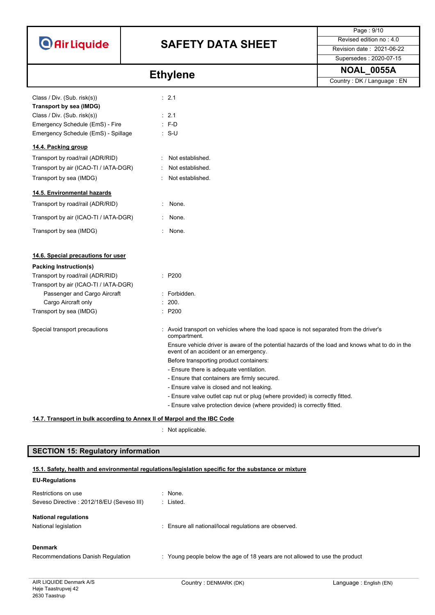

# **SAFETY DATA SHEET**

| Page: 9/10                     |  |
|--------------------------------|--|
| Revised edition no $\cdot$ 4.0 |  |
| Revision date: 2021-06-22      |  |
| Supersedes: 2020-07-15         |  |

|                                                                                                                          | <b>Ethylene</b>                                                                                                                                       | <b>NOAL_0055A</b>          |
|--------------------------------------------------------------------------------------------------------------------------|-------------------------------------------------------------------------------------------------------------------------------------------------------|----------------------------|
|                                                                                                                          |                                                                                                                                                       | Country: DK / Language: EN |
| Class / Div. (Sub. risk(s))<br>Transport by sea (IMDG)<br>Class / Div. (Sub. risk(s))<br>Emergency Schedule (EmS) - Fire | : 2.1<br>: 2.1<br>$: F-D$                                                                                                                             |                            |
| Emergency Schedule (EmS) - Spillage                                                                                      | $: S-U$                                                                                                                                               |                            |
| 14.4. Packing group                                                                                                      |                                                                                                                                                       |                            |
| Transport by road/rail (ADR/RID)                                                                                         | Not established.                                                                                                                                      |                            |
| Transport by air (ICAO-TI / IATA-DGR)                                                                                    | Not established.                                                                                                                                      |                            |
| Transport by sea (IMDG)                                                                                                  | Not established.                                                                                                                                      |                            |
| 14.5. Environmental hazards                                                                                              |                                                                                                                                                       |                            |
| Transport by road/rail (ADR/RID)                                                                                         | None.                                                                                                                                                 |                            |
| Transport by air (ICAO-TI / IATA-DGR)                                                                                    | None.                                                                                                                                                 |                            |
| Transport by sea (IMDG)                                                                                                  | : None.                                                                                                                                               |                            |
| 14.6. Special precautions for user                                                                                       |                                                                                                                                                       |                            |
| <b>Packing Instruction(s)</b>                                                                                            |                                                                                                                                                       |                            |
| Transport by road/rail (ADR/RID)<br>Transport by air (ICAO-TI / IATA-DGR)                                                | : P200                                                                                                                                                |                            |
| Passenger and Cargo Aircraft                                                                                             | : Forbidden.                                                                                                                                          |                            |
| Cargo Aircraft only                                                                                                      | : 200.                                                                                                                                                |                            |
| Transport by sea (IMDG)                                                                                                  | : P200                                                                                                                                                |                            |
| Special transport precautions                                                                                            | : Avoid transport on vehicles where the load space is not separated from the driver's<br>compartment.                                                 |                            |
|                                                                                                                          | Ensure vehicle driver is aware of the potential hazards of the load and knows what to do in the<br>event of an accident or an emergency.              |                            |
|                                                                                                                          | Before transporting product containers:                                                                                                               |                            |
|                                                                                                                          | - Ensure there is adequate ventilation.                                                                                                               |                            |
|                                                                                                                          | - Ensure that containers are firmly secured.                                                                                                          |                            |
|                                                                                                                          | - Ensure valve is closed and not leaking.                                                                                                             |                            |
|                                                                                                                          | - Ensure valve outlet cap nut or plug (where provided) is correctly fitted.<br>- Ensure valve protection device (where provided) is correctly fitted. |                            |
|                                                                                                                          |                                                                                                                                                       |                            |
|                                                                                                                          | 14.7. Transport in bulk according to Annex II of Marpol and the IBC Code                                                                              |                            |

: Not applicable.

## **SECTION 15: Regulatory information**

## **15.1. Safety, health and environmental regulations/legislation specific for the substance or mixture**

## **EU-Regulations**

| Restrictions on use<br>Seveso Directive: 2012/18/EU (Seveso III) | : None.<br>: Listed.                                                        |
|------------------------------------------------------------------|-----------------------------------------------------------------------------|
| <b>National regulations</b><br>National legislation              | : Ensure all national/local regulations are observed.                       |
| <b>Denmark</b><br>Recommendations Danish Regulation              | : Young people below the age of 18 years are not allowed to use the product |